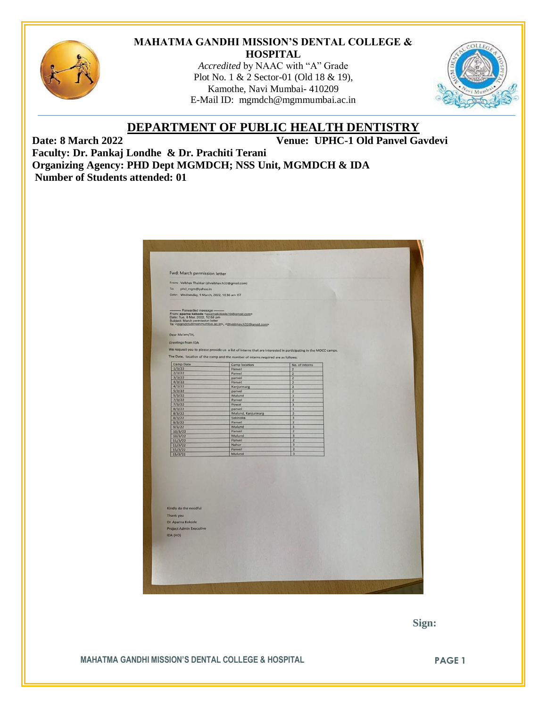

### **MAHATMA GANDHI MISSION'S DENTAL COLLEGE & HOSPITAL**

*Accredited* by NAAC with "A" Grade Plot No. 1 & 2 Sector-01 (Old 18 & 19), Kamothe, Navi Mumbai- 410209 E-Mail ID: [mgmdch@mgmmumbai.ac.in](mailto:mgmdch@mgmmumbai.ac.in)



# **DEPARTMENT OF PUBLIC HEALTH DENTISTRY**

**Date: 8 March 2022 Venue: UPHC-1 Old Panvel Gavdevi**

**Faculty: Dr. Pankaj Londhe & Dr. Prachiti Terani Organizing Agency: PHD Dept MGMDCH; NSS Unit, MGMDCH & IDA Number of Students attended: 01**

| From: Vaibhav Thakkar (drvaibhav.h32@gmail.com)                                                                                                                            |                                                                                                               |                                           |  |
|----------------------------------------------------------------------------------------------------------------------------------------------------------------------------|---------------------------------------------------------------------------------------------------------------|-------------------------------------------|--|
| To:<br>phd_mgm@yahoo.in                                                                                                                                                    |                                                                                                               |                                           |  |
| Date: Wednesday, 9 March, 2022, 10:36 am IST                                                                                                                               |                                                                                                               |                                           |  |
|                                                                                                                                                                            |                                                                                                               |                                           |  |
| Forwarded message -<br>From: aparna kokode <aparnakokode10@gmail.com><br/>Date: Tue, 8 Mar, 2022, 12:58 pm<br/>Subject: March permission letter</aparnakokode10@gmail.com> | To: <mgmdch@mgmmumbai.ac.in>, <drvaibhav.h32@gmail.com></drvaibhav.h32@gmail.com></mgmdch@mgmmumbai.ac.in>    |                                           |  |
| Dear Ma'am/Sir,                                                                                                                                                            |                                                                                                               |                                           |  |
|                                                                                                                                                                            |                                                                                                               |                                           |  |
| Greetings from IDA                                                                                                                                                         |                                                                                                               |                                           |  |
|                                                                                                                                                                            | We request you to please provide us a list of interns that are interested in participating in the MOCC camps. |                                           |  |
|                                                                                                                                                                            | The Date, location of the camp and the number of interns required are as follows:                             |                                           |  |
| <b>Camp Date</b>                                                                                                                                                           | Camp location                                                                                                 | No. of interns                            |  |
| 1/3/22                                                                                                                                                                     | Panvel                                                                                                        | $\overline{2}$                            |  |
| 2/3/22<br>3/3/22                                                                                                                                                           | Panvel<br>panvel                                                                                              | $\overline{2}$<br>$\overline{2}$          |  |
| 4/3/22                                                                                                                                                                     | Panvel                                                                                                        | $\overline{2}$                            |  |
| 4/3/22                                                                                                                                                                     | Kanjurmarg                                                                                                    | $\overline{2}$                            |  |
| 5/3/22                                                                                                                                                                     | panvel                                                                                                        | $\overline{2}$                            |  |
| 5/3/22                                                                                                                                                                     | Mulund                                                                                                        | $\overline{3}$                            |  |
| 7/3/22                                                                                                                                                                     | Panvel                                                                                                        | $\overline{2}$                            |  |
| 7/3/22<br>8/3/22                                                                                                                                                           | Powai<br>panvel                                                                                               | $\overline{\mathbf{3}}$<br>$\mathbf 1$    |  |
| 8/3/22                                                                                                                                                                     | Mulund, Kanjurmarg                                                                                            | $\overline{2}$                            |  |
| 8/3/22                                                                                                                                                                     | Sakinaka                                                                                                      | $\ensuremath{\mathsf{3}}$                 |  |
| 9/3/22                                                                                                                                                                     | Panvel                                                                                                        | $\overline{2}$                            |  |
| 9/3/22                                                                                                                                                                     | Mulund                                                                                                        | $\overline{3}$                            |  |
| 10/3/22                                                                                                                                                                    | Panvel                                                                                                        | $\overline{2}$                            |  |
| 10/3/22                                                                                                                                                                    | Mulund<br>Panvel                                                                                              | $\overline{\mathbf{3}}$<br>$\overline{2}$ |  |
| 11/3/22<br>11/3/22                                                                                                                                                         | Nahur                                                                                                         | $\overline{3}$                            |  |
| 15/3/22                                                                                                                                                                    | Panvel                                                                                                        | $\overline{2}$                            |  |
| 15/3/22                                                                                                                                                                    | Mulund                                                                                                        | $\overline{3}$                            |  |
| Kindly do the needful                                                                                                                                                      |                                                                                                               |                                           |  |
| Thank you                                                                                                                                                                  |                                                                                                               |                                           |  |
|                                                                                                                                                                            |                                                                                                               |                                           |  |
| Dr. Aparna Kokode                                                                                                                                                          |                                                                                                               |                                           |  |
| <b>Project Admin Executive</b>                                                                                                                                             |                                                                                                               |                                           |  |
| IDA (HO)                                                                                                                                                                   |                                                                                                               |                                           |  |
|                                                                                                                                                                            |                                                                                                               |                                           |  |
|                                                                                                                                                                            |                                                                                                               |                                           |  |
|                                                                                                                                                                            |                                                                                                               |                                           |  |

 **Sign:**

**MAHATMA GANDHI MISSION'S DENTAL COLLEGE & HOSPITAL PAGE 1**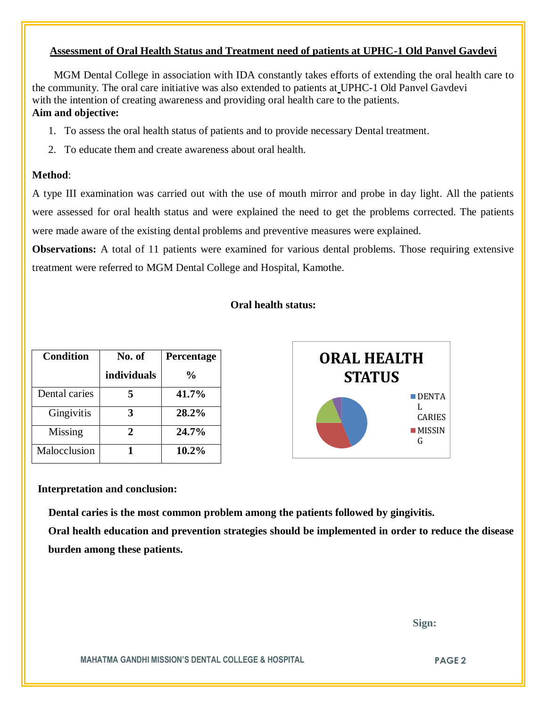### **Assessment of Oral Health Status and Treatment need of patients at UPHC-1 Old Panvel Gavdevi**

 MGM Dental College in association with IDA constantly takes efforts of extending the oral health care to the community. The oral care initiative was also extended to patients at UPHC-1 Old Panvel Gavdevi with the intention of creating awareness and providing oral health care to the patients. **Aim and objective:** 

- 1. To assess the oral health status of patients and to provide necessary Dental treatment.
- 2. To educate them and create awareness about oral health.

#### **Method**:

A type III examination was carried out with the use of mouth mirror and probe in day light. All the patients were assessed for oral health status and were explained the need to get the problems corrected. The patients were made aware of the existing dental problems and preventive measures were explained.

**Observations:** A total of 11 patients were examined for various dental problems. Those requiring extensive treatment were referred to MGM Dental College and Hospital, Kamothe.

### **Oral health status:**

| <b>Condition</b> | No. of<br>individuals | Percentage<br>$\frac{6}{9}$ | <b>ORAL HEALTH</b><br><b>STATUS</b> |
|------------------|-----------------------|-----------------------------|-------------------------------------|
| Dental caries    |                       | 41.7%                       | $\blacksquare$ DENTA                |
| Gingivitis       | 3                     | 28.2%                       | L<br><b>CARIES</b>                  |
| <b>Missing</b>   | ∍                     | 24.7%                       | <b>MISSIN</b><br>G                  |
| Malocclusion     |                       | 10.2%                       |                                     |

#### **Interpretation and conclusion:**

 **Dental caries is the most common problem among the patients followed by gingivitis.**

**Oral health education and prevention strategies should be implemented in order to reduce the disease burden among these patients.**

 **Sign:**

**MAHATMA GANDHI MISSION'S DENTAL COLLEGE & HOSPITAL PAGE 2**